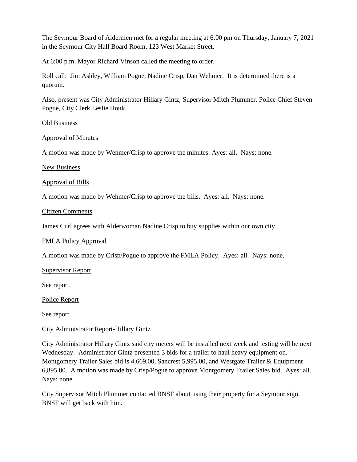The Seymour Board of Aldermen met for a regular meeting at 6:00 pm on Thursday, January 7, 2021 in the Seymour City Hall Board Room, 123 West Market Street.

At 6:00 p.m. Mayor Richard Vinson called the meeting to order.

Roll call: Jim Ashley, William Pogue, Nadine Crisp, Dan Wehmer. It is determined there is a quorum.

Also, present was City Administrator Hillary Gintz, Supervisor Mitch Plummer, Police Chief Steven Pogue, City Clerk Leslie Houk.

# Old Business

# Approval of Minutes

A motion was made by Wehmer/Crisp to approve the minutes. Ayes: all. Nays: none.

## New Business

## Approval of Bills

A motion was made by Wehmer/Crisp to approve the bills. Ayes: all. Nays: none.

## Citizen Comments

James Curl agrees with Alderwoman Nadine Crisp to buy supplies within our own city.

#### FMLA Policy Approval

A motion was made by Crisp/Pogue to approve the FMLA Policy. Ayes: all. Nays: none.

#### Supervisor Report

See report.

# Police Report

See report.

# City Administrator Report-Hillary Gintz

City Administrator Hillary Gintz said city meters will be installed next week and testing will be next Wednesday. Administrator Gintz presented 3 bids for a trailer to haul heavy equipment on. Montgomery Trailer Sales bid is 4,669.00, Sancrest 5,995.00, and Westgate Trailer & Equipment 6,895.00. A motion was made by Crisp/Pogue to approve Montgomery Trailer Sales bid. Ayes: all. Nays: none.

City Supervisor Mitch Plummer contacted BNSF about using their property for a Seymour sign. BNSF will get back with him.